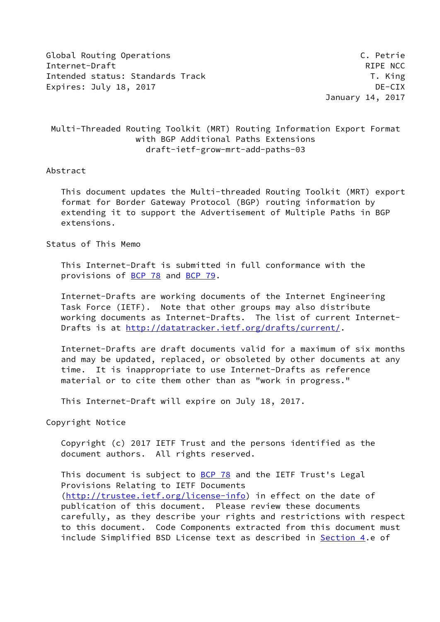Global Routing Operations C. Petrie Internet-Draft RIPE NCC Intended status: Standards Track T. King Expires: July 18, 2017 **DE-CIX** 

January 14, 2017

# Multi-Threaded Routing Toolkit (MRT) Routing Information Export Format with BGP Additional Paths Extensions draft-ietf-grow-mrt-add-paths-03

#### Abstract

 This document updates the Multi-threaded Routing Toolkit (MRT) export format for Border Gateway Protocol (BGP) routing information by extending it to support the Advertisement of Multiple Paths in BGP extensions.

# Status of This Memo

 This Internet-Draft is submitted in full conformance with the provisions of [BCP 78](https://datatracker.ietf.org/doc/pdf/bcp78) and [BCP 79](https://datatracker.ietf.org/doc/pdf/bcp79).

 Internet-Drafts are working documents of the Internet Engineering Task Force (IETF). Note that other groups may also distribute working documents as Internet-Drafts. The list of current Internet Drafts is at<http://datatracker.ietf.org/drafts/current/>.

 Internet-Drafts are draft documents valid for a maximum of six months and may be updated, replaced, or obsoleted by other documents at any time. It is inappropriate to use Internet-Drafts as reference material or to cite them other than as "work in progress."

This Internet-Draft will expire on July 18, 2017.

Copyright Notice

 Copyright (c) 2017 IETF Trust and the persons identified as the document authors. All rights reserved.

This document is subject to [BCP 78](https://datatracker.ietf.org/doc/pdf/bcp78) and the IETF Trust's Legal Provisions Relating to IETF Documents [\(http://trustee.ietf.org/license-info](http://trustee.ietf.org/license-info)) in effect on the date of publication of this document. Please review these documents carefully, as they describe your rights and restrictions with respect to this document. Code Components extracted from this document must include Simplified BSD License text as described in [Section 4.](#page-2-0)e of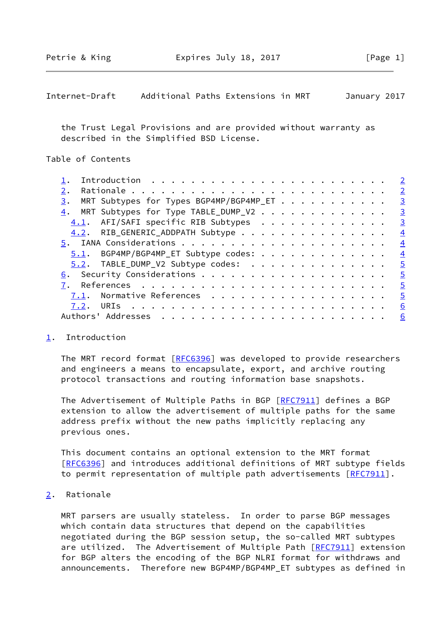<span id="page-1-1"></span>Internet-Draft Additional Paths Extensions in MRT January 2017

 the Trust Legal Provisions and are provided without warranty as described in the Simplified BSD License.

Table of Contents

|                                               | $\overline{2}$          |
|-----------------------------------------------|-------------------------|
| 2.                                            | $\overline{2}$          |
| MRT Subtypes for Types BGP4MP/BGP4MP_ET<br>3. | $\overline{\mathbf{3}}$ |
| MRT Subtypes for Type TABLE_DUMP_V2<br>4.     | $\overline{\mathbf{3}}$ |
| 4.1. AFI/SAFI specific RIB Subtypes           | $\overline{3}$          |
| 4.2. RIB_GENERIC_ADDPATH Subtype              | $\overline{4}$          |
|                                               | $\overline{4}$          |
| $5.1$ . BGP4MP/BGP4MP_ET Subtype codes:       | $\overline{4}$          |
| 5.2. TABLE_DUMP_V2 Subtype codes:             | $\overline{5}$          |
|                                               | $\frac{5}{2}$           |
|                                               | $\overline{5}$          |
| $7.1$ . Normative References                  | $\overline{5}$          |
| 7.2.                                          | 6                       |
|                                               | 6                       |
|                                               |                         |

#### <span id="page-1-0"></span>[1](#page-1-0). Introduction

The MRT record format [[RFC6396](https://datatracker.ietf.org/doc/pdf/rfc6396)] was developed to provide researchers and engineers a means to encapsulate, export, and archive routing protocol transactions and routing information base snapshots.

The Advertisement of Multiple Paths in BGP [[RFC7911\]](https://datatracker.ietf.org/doc/pdf/rfc7911) defines a BGP extension to allow the advertisement of multiple paths for the same address prefix without the new paths implicitly replacing any previous ones.

 This document contains an optional extension to the MRT format [\[RFC6396](https://datatracker.ietf.org/doc/pdf/rfc6396)] and introduces additional definitions of MRT subtype fields to permit representation of multiple path advertisements [\[RFC7911](https://datatracker.ietf.org/doc/pdf/rfc7911)].

<span id="page-1-2"></span>[2](#page-1-2). Rationale

 MRT parsers are usually stateless. In order to parse BGP messages which contain data structures that depend on the capabilities negotiated during the BGP session setup, the so-called MRT subtypes are utilized. The Advertisement of Multiple Path [[RFC7911](https://datatracker.ietf.org/doc/pdf/rfc7911)] extension for BGP alters the encoding of the BGP NLRI format for withdraws and announcements. Therefore new BGP4MP/BGP4MP\_ET subtypes as defined in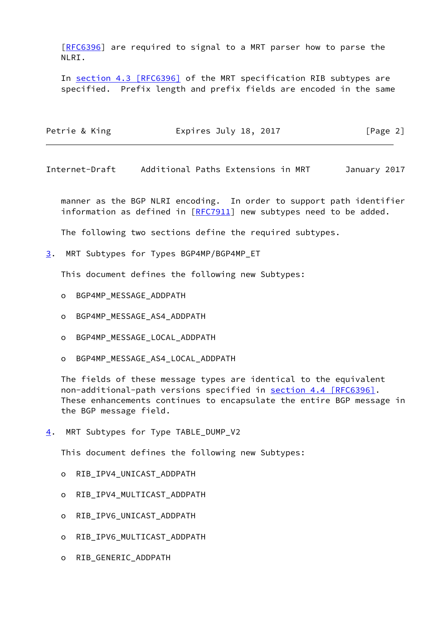[\[RFC6396](https://datatracker.ietf.org/doc/pdf/rfc6396)] are required to signal to a MRT parser how to parse the NLRI.

In section [4.3 \[RFC6396\]](https://datatracker.ietf.org/doc/pdf/rfc6396#section-4.3) of the MRT specification RIB subtypes are specified. Prefix length and prefix fields are encoded in the same

| Petrie & King | Expires July 18, 2017 | [Page 2] |
|---------------|-----------------------|----------|
|               |                       |          |

<span id="page-2-2"></span>Internet-Draft Additional Paths Extensions in MRT January 2017

 manner as the BGP NLRI encoding. In order to support path identifier information as defined in  $[RFC7911]$  $[RFC7911]$  $[RFC7911]$  new subtypes need to be added.

The following two sections define the required subtypes.

<span id="page-2-1"></span>[3](#page-2-1). MRT Subtypes for Types BGP4MP/BGP4MP\_ET

This document defines the following new Subtypes:

- o BGP4MP\_MESSAGE\_ADDPATH
- o BGP4MP\_MESSAGE\_AS4\_ADDPATH
- o BGP4MP\_MESSAGE\_LOCAL\_ADDPATH
- o BGP4MP\_MESSAGE\_AS4\_LOCAL\_ADDPATH

 The fields of these message types are identical to the equivalent non-additional-path versions specified in section [4.4 \[RFC6396\].](https://datatracker.ietf.org/doc/pdf/rfc6396#section-4.4) These enhancements continues to encapsulate the entire BGP message in the BGP message field.

<span id="page-2-0"></span>[4](#page-2-0). MRT Subtypes for Type TABLE\_DUMP\_V2

This document defines the following new Subtypes:

- o RIB\_IPV4\_UNICAST\_ADDPATH
- o RIB\_IPV4\_MULTICAST\_ADDPATH
- o RIB\_IPV6\_UNICAST\_ADDPATH
- o RIB\_IPV6\_MULTICAST\_ADDPATH
- o RIB\_GENERIC\_ADDPATH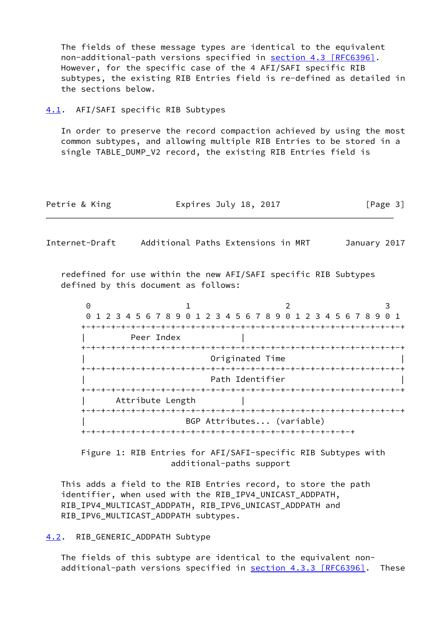The fields of these message types are identical to the equivalent non-additional-path versions specified in section [4.3 \[RFC6396\].](https://datatracker.ietf.org/doc/pdf/rfc6396#section-4.3) However, for the specific case of the 4 AFI/SAFI specific RIB subtypes, the existing RIB Entries field is re-defined as detailed in the sections below.

#### <span id="page-3-0"></span>[4.1](#page-3-0). AFI/SAFI specific RIB Subtypes

 In order to preserve the record compaction achieved by using the most common subtypes, and allowing multiple RIB Entries to be stored in a single TABLE\_DUMP\_V2 record, the existing RIB Entries field is

| Petrie & King | Expires July 18, 2017 | [Page 3] |
|---------------|-----------------------|----------|
|---------------|-----------------------|----------|

<span id="page-3-2"></span>Internet-Draft Additional Paths Extensions in MRT January 2017

 redefined for use within the new AFI/SAFI specific RIB Subtypes defined by this document as follows:

 $0$  1 2 3 0 1 2 3 4 5 6 7 8 9 0 1 2 3 4 5 6 7 8 9 0 1 2 3 4 5 6 7 8 9 0 1 +-+-+-+-+-+-+-+-+-+-+-+-+-+-+-+-+-+-+-+-+-+-+-+-+-+-+-+-+-+-+-+-+ Peer Index +-+-+-+-+-+-+-+-+-+-+-+-+-+-+-+-+-+-+-+-+-+-+-+-+-+-+-+-+-+-+-+-+ | Originated Time | +-+-+-+-+-+-+-+-+-+-+-+-+-+-+-+-+-+-+-+-+-+-+-+-+-+-+-+-+-+-+-+-+ Path Identifier +-+-+-+-+-+-+-+-+-+-+-+-+-+-+-+-+-+-+-+-+-+-+-+-+-+-+-+-+-+-+-+-+ Attribute Length +-+-+-+-+-+-+-+-+-+-+-+-+-+-+-+-+-+-+-+-+-+-+-+-+-+-+-+-+-+-+-+-+ | BGP Attributes... (variable) +-+-+-+-+-+-+-+-+-+-+-+-+-+-+-+-+-+-+-+-+-+-+-+-+-+-+-+

 Figure 1: RIB Entries for AFI/SAFI-specific RIB Subtypes with additional-paths support

 This adds a field to the RIB Entries record, to store the path identifier, when used with the RIB\_IPV4\_UNICAST\_ADDPATH, RIB\_IPV4\_MULTICAST\_ADDPATH, RIB\_IPV6\_UNICAST\_ADDPATH and RIB IPV6 MULTICAST ADDPATH subtypes.

#### <span id="page-3-1"></span>[4.2](#page-3-1). RIB\_GENERIC\_ADDPATH Subtype

 The fields of this subtype are identical to the equivalent non additional-path versions specified in **section [4.3.3 \[RFC6396\]](https://datatracker.ietf.org/doc/pdf/rfc6396#section-4.3.3)**. These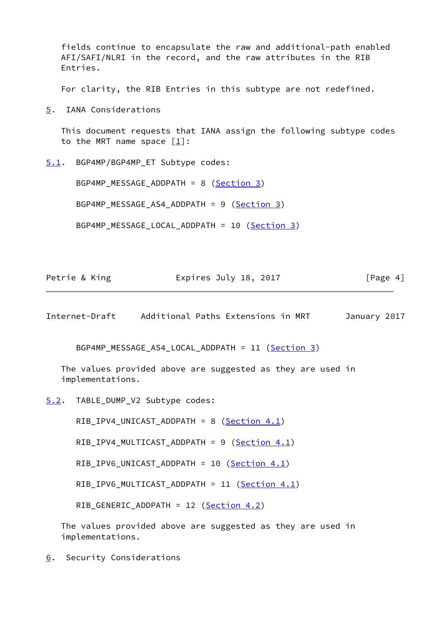fields continue to encapsulate the raw and additional-path enabled AFI/SAFI/NLRI in the record, and the raw attributes in the RIB Entries.

For clarity, the RIB Entries in this subtype are not redefined.

<span id="page-4-0"></span>[5](#page-4-0). IANA Considerations

 This document requests that IANA assign the following subtype codes to the MRT name space  $\lceil \frac{1}{2} \rceil$ :

<span id="page-4-1"></span>[5.1](#page-4-1). BGP4MP/BGP4MP\_ET Subtype codes:

BGP4MP\_MESSAGE\_ADDPATH = 8 ([Section 3\)](#page-2-1)

BGP4MP MESSAGE AS4 ADDPATH = 9 ([Section 3\)](#page-2-1)

BGP4MP\_MESSAGE\_LOCAL\_ADDPATH = 10 [\(Section 3\)](#page-2-1)

| Petrie & King | Expires July 18, 2017 | [Page 4] |
|---------------|-----------------------|----------|
|               |                       |          |

<span id="page-4-3"></span>Internet-Draft Additional Paths Extensions in MRT January 2017

BGP4MP MESSAGE AS4 LOCAL ADDPATH = 11 [\(Section 3\)](#page-2-1)

 The values provided above are suggested as they are used in implementations.

<span id="page-4-2"></span>[5.2](#page-4-2). TABLE\_DUMP\_V2 Subtype codes:

RIB\_IPV4\_UNICAST\_ADDPATH = 8 [\(Section 4.1](#page-3-0))

RIB\_IPV4\_MULTICAST\_ADDPATH = 9 ([Section 4.1](#page-3-0))

RIB\_IPV6\_UNICAST\_ADDPATH = 10 [\(Section 4.1](#page-3-0))

RIB\_IPV6\_MULTICAST\_ADDPATH = 11 ([Section 4.1\)](#page-3-0)

RIB\_GENERIC\_ADDPATH = 12 [\(Section 4.2](#page-3-1))

 The values provided above are suggested as they are used in implementations.

<span id="page-4-4"></span>[6](#page-4-4). Security Considerations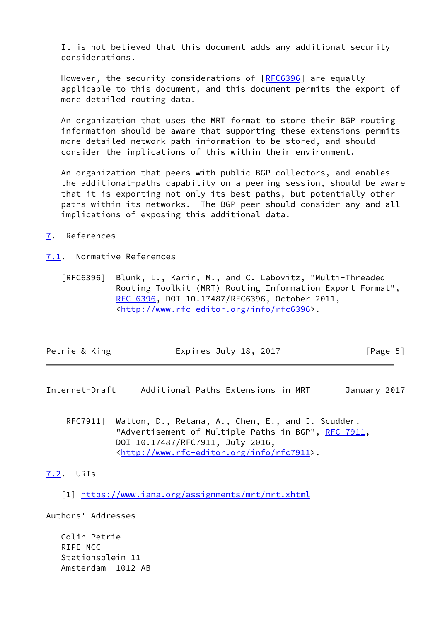It is not believed that this document adds any additional security considerations.

 However, the security considerations of [\[RFC6396](https://datatracker.ietf.org/doc/pdf/rfc6396)] are equally applicable to this document, and this document permits the export of more detailed routing data.

 An organization that uses the MRT format to store their BGP routing information should be aware that supporting these extensions permits more detailed network path information to be stored, and should consider the implications of this within their environment.

 An organization that peers with public BGP collectors, and enables the additional-paths capability on a peering session, should be aware that it is exporting not only its best paths, but potentially other paths within its networks. The BGP peer should consider any and all implications of exposing this additional data.

### <span id="page-5-0"></span>[7](#page-5-0). References

### <span id="page-5-1"></span>[7.1](#page-5-1). Normative References

 [RFC6396] Blunk, L., Karir, M., and C. Labovitz, "Multi-Threaded Routing Toolkit (MRT) Routing Information Export Format", [RFC 6396,](https://datatracker.ietf.org/doc/pdf/rfc6396) DOI 10.17487/RFC6396, October 2011, <<http://www.rfc-editor.org/info/rfc6396>>.

|  | Petrie & King | Expires July 18, 2017 | [Page 5] |
|--|---------------|-----------------------|----------|
|--|---------------|-----------------------|----------|

- <span id="page-5-3"></span>Internet-Draft Additional Paths Extensions in MRT January 2017
	- [RFC7911] Walton, D., Retana, A., Chen, E., and J. Scudder, "Advertisement of Multiple Paths in BGP", [RFC 7911](https://datatracker.ietf.org/doc/pdf/rfc7911), DOI 10.17487/RFC7911, July 2016, <<http://www.rfc-editor.org/info/rfc7911>>.

# <span id="page-5-2"></span>[7.2](#page-5-2). URIs

<span id="page-5-4"></span>[1] <https://www.iana.org/assignments/mrt/mrt.xhtml>

Authors' Addresses

 Colin Petrie RIPE NCC Stationsplein 11 Amsterdam 1012 AB